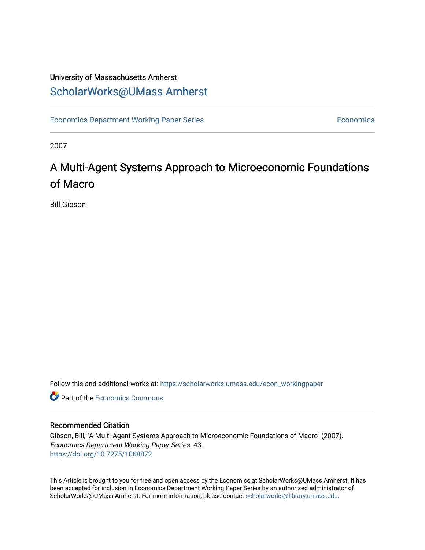### University of Massachusetts Amherst [ScholarWorks@UMass Amherst](https://scholarworks.umass.edu/)

[Economics Department Working Paper Series](https://scholarworks.umass.edu/econ_workingpaper) **Economics** Economics

2007

## A Multi-Agent Systems Approach to Microeconomic Foundations of Macro

Bill Gibson

Follow this and additional works at: [https://scholarworks.umass.edu/econ\\_workingpaper](https://scholarworks.umass.edu/econ_workingpaper?utm_source=scholarworks.umass.edu%2Fecon_workingpaper%2F43&utm_medium=PDF&utm_campaign=PDFCoverPages) 

**C** Part of the [Economics Commons](http://network.bepress.com/hgg/discipline/340?utm_source=scholarworks.umass.edu%2Fecon_workingpaper%2F43&utm_medium=PDF&utm_campaign=PDFCoverPages)

#### Recommended Citation

Gibson, Bill, "A Multi-Agent Systems Approach to Microeconomic Foundations of Macro" (2007). Economics Department Working Paper Series. 43. <https://doi.org/10.7275/1068872>

This Article is brought to you for free and open access by the Economics at ScholarWorks@UMass Amherst. It has been accepted for inclusion in Economics Department Working Paper Series by an authorized administrator of ScholarWorks@UMass Amherst. For more information, please contact [scholarworks@library.umass.edu.](mailto:scholarworks@library.umass.edu)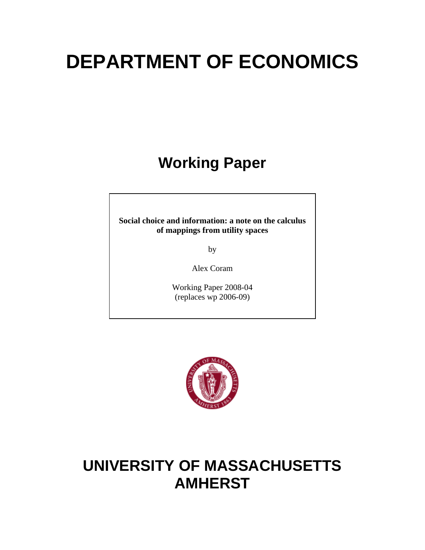# **DEPARTMENT OF ECONOMICS**

# **Working Paper**

**Social choice and information: a note on the calculus of mappings from utility spaces** 

by

Alex Coram

Working Paper 2008-04 (replaces wp 2006-09)



# **UNIVERSITY OF MASSACHUSETTS AMHERST**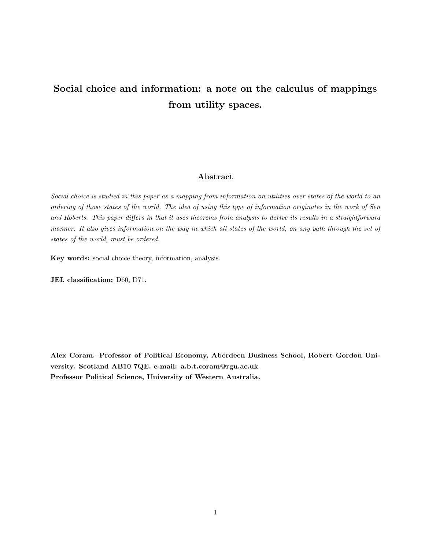### Social choice and information: a note on the calculus of mappings from utility spaces.

#### Abstract

Social choice is studied in this paper as a mapping from information on utilities over states of the world to an ordering of those states of the world. The idea of using this type of information originates in the work of Sen and Roberts. This paper differs in that it uses theorems from analysis to derive its results in a straightforward manner. It also gives information on the way in which all states of the world, on any path through the set of states of the world, must be ordered.

Key words: social choice theory, information, analysis.

JEL classification: D60, D71.

Alex Coram. Professor of Political Economy, Aberdeen Business School, Robert Gordon University. Scotland AB10 7QE. e-mail: a.b.t.coram@rgu.ac.uk Professor Political Science, University of Western Australia.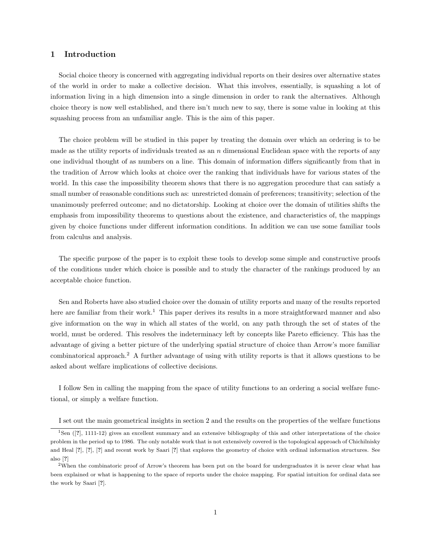#### 1 Introduction

Social choice theory is concerned with aggregating individual reports on their desires over alternative states of the world in order to make a collective decision. What this involves, essentially, is squashing a lot of information living in a high dimension into a single dimension in order to rank the alternatives. Although choice theory is now well established, and there isn't much new to say, there is some value in looking at this squashing process from an unfamiliar angle. This is the aim of this paper.

The choice problem will be studied in this paper by treating the domain over which an ordering is to be made as the utility reports of individuals treated as an  $n$  dimensional Euclidean space with the reports of any one individual thought of as numbers on a line. This domain of information differs significantly from that in the tradition of Arrow which looks at choice over the ranking that individuals have for various states of the world. In this case the impossibility theorem shows that there is no aggregation procedure that can satisfy a small number of reasonable conditions such as: unrestricted domain of preferences; transitivity; selection of the unanimously preferred outcome; and no dictatorship. Looking at choice over the domain of utilities shifts the emphasis from impossibility theorems to questions about the existence, and characteristics of, the mappings given by choice functions under different information conditions. In addition we can use some familiar tools from calculus and analysis.

The specific purpose of the paper is to exploit these tools to develop some simple and constructive proofs of the conditions under which choice is possible and to study the character of the rankings produced by an acceptable choice function.

Sen and Roberts have also studied choice over the domain of utility reports and many of the results reported here are familiar from their work.<sup>1</sup> This paper derives its results in a more straightforward manner and also give information on the way in which all states of the world, on any path through the set of states of the world, must be ordered. This resolves the indeterminacy left by concepts like Pareto efficiency. This has the advantage of giving a better picture of the underlying spatial structure of choice than Arrow's more familiar combinatorical approach.<sup>2</sup> A further advantage of using with utility reports is that it allows questions to be asked about welfare implications of collective decisions.

I follow Sen in calling the mapping from the space of utility functions to an ordering a social welfare functional, or simply a welfare function.

I set out the main geometrical insights in section 2 and the results on the properties of the welfare functions

<sup>1</sup>Sen ([?], 1111-12) gives an excellent summary and an extensive bibliography of this and other interpretations of the choice problem in the period up to 1986. The only notable work that is not extensively covered is the topological approach of Chichilnisky and Heal [?], [?], [?] and recent work by Saari [?] that explores the geometry of choice with ordinal information structures. See also [?]

<sup>&</sup>lt;sup>2</sup>When the combinatoric proof of Arrow's theorem has been put on the board for undergraduates it is never clear what has been explained or what is happening to the space of reports under the choice mapping. For spatial intuition for ordinal data see the work by Saari [?].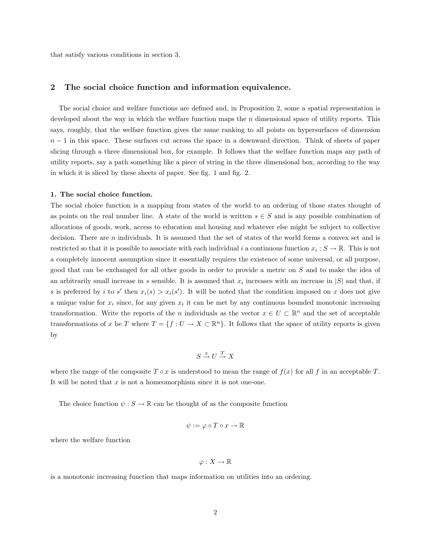that satisfy various conditions in section 3.

#### 2 The social choice function and information equivalence.

The social choice and welfare functions are defined and, in Proposition 2, some a spatial representation is developed about the way in which the welfare function maps the  $n$  dimensional space of utility reports. This says, roughly, that the welfare function gives the same ranking to all points on hypersurfaces of dimension  $n-1$  in this space. These surfaces cut across the space in a downward direction. Think of sheets of paper slicing through a three dimensional box, for example. It follows that the welfare function maps any path of utility reports, say a path something like a piece of string in the three dimensional box, according to the way in which it is sliced by these sheets of paper. See fig. 1 and fig. 2.

#### 1. The social choice function.

The social choice function is a mapping from states of the world to an ordering of those states thought of as points on the real number line. A state of the world is written  $s \in S$  and is any possible combination of allocations of goods, work, access to education and housing and whatever else might be subject to collective decision. There are n individuals. It is assumed that the set of states of the world forms a convex set and is restricted so that it is possible to associate with each individual i a continuous function  $x_i : S \to \mathbb{R}$ . This is not a completely innocent assumption since it essentially requires the existence of some universal, or all purpose, good that can be exchanged for all other goods in order to provide a metric on S and to make the idea of an arbitrarily small increase in s sensible. It is assumed that  $x_i$  increases with an increase in  $|S|$  and that, if s is preferred by i to s' then  $x_i(s) > x_i(s')$ . It will be noted that the condition imposed on x does not give a unique value for  $x_i$  since, for any given  $x_i$  it can be met by any continuous bounded monotonic increasing transformation. Write the reports of the n individuals as the vector  $x \in U \subset \mathbb{R}^n$  and the set of acceptable transformations of x be T where  $T = \{f : U \to X \subset \mathbb{R}^n\}$ . It follows that the space of utility reports is given by

$$
S \xrightarrow{x} U \xrightarrow{T} X
$$

where the range of the composite  $T \circ x$  is understood to mean the range of  $f(x)$  for all f in an acceptable T. It will be noted that  $x$  is not a homeomorphism since it is not one-one.

The choice function  $\psi : S \to \mathbb{R}$  can be thought of as the composite function

$$
\psi := \varphi \circ T \circ x \to \mathbb{R}
$$

where the welfare function

$$
\varphi:X\to\mathbb{R}
$$

is a monotonic increasing function that maps information on utilities into an ordering.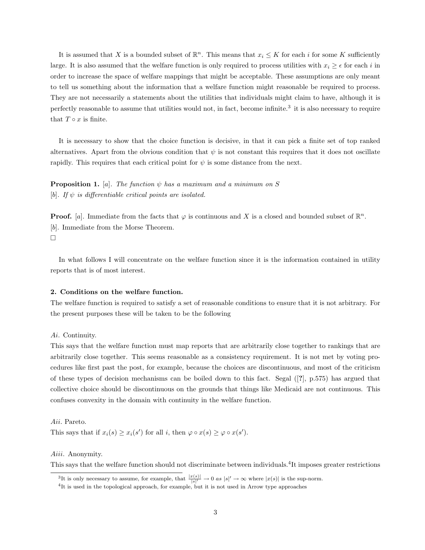It is assumed that X is a bounded subset of  $\mathbb{R}^n$ . This means that  $x_i \leq K$  for each i for some K sufficiently large. It is also assumed that the welfare function is only required to process utilities with  $x_i \geq \epsilon$  for each i in order to increase the space of welfare mappings that might be acceptable. These assumptions are only meant to tell us something about the information that a welfare function might reasonable be required to process. They are not necessarily a statements about the utilities that individuals might claim to have, although it is perfectly reasonable to assume that utilities would not, in fact, become infinite.<sup>3</sup> it is also necessary to require that  $T \circ x$  is finite.

It is necessary to show that the choice function is decisive, in that it can pick a finite set of top ranked alternatives. Apart from the obvious condition that  $\psi$  is not constant this requires that it does not oscillate rapidly. This requires that each critical point for  $\psi$  is some distance from the next.

**Proposition 1.** [a]. The function  $\psi$  has a maximum and a minimum on S [b]. If  $\psi$  is differentiable critical points are isolated.

**Proof.** [a]. Immediate from the facts that  $\varphi$  is continuous and X is a closed and bounded subset of  $\mathbb{R}^n$ . [b]. Immediate from the Morse Theorem.  $\Box$ 

In what follows I will concentrate on the welfare function since it is the information contained in utility reports that is of most interest.

#### 2. Conditions on the welfare function.

The welfare function is required to satisfy a set of reasonable conditions to ensure that it is not arbitrary. For the present purposes these will be taken to be the following

#### Ai. Continuity.

This says that the welfare function must map reports that are arbitrarily close together to rankings that are arbitrarily close together. This seems reasonable as a consistency requirement. It is not met by voting procedures like first past the post, for example, because the choices are discontinuous, and most of the criticism of these types of decision mechanisms can be boiled down to this fact. Segal ([?], p.575) has argued that collective choice should be discontinuous on the grounds that things like Medicaid are not continuous. This confuses convexity in the domain with continuity in the welfare function.

#### Aii. Pareto.

This says that if  $x_i(s) \ge x_i(s')$  for all i, then  $\varphi \circ x(s) \ge \varphi \circ x(s')$ .

#### Aiii. Anonymity.

This says that the welfare function should not discriminate between individuals.<sup>4</sup>It imposes greater restrictions

<sup>&</sup>lt;sup>3</sup>It is only necessary to assume, for example, that  $\frac{|x(s)|}{|s|'} \to 0$  as  $|s|' \to \infty$  where  $|x(s)|$  is the sup-norm.

<sup>4</sup> It is used in the topological approach, for example, but it is not used in Arrow type approaches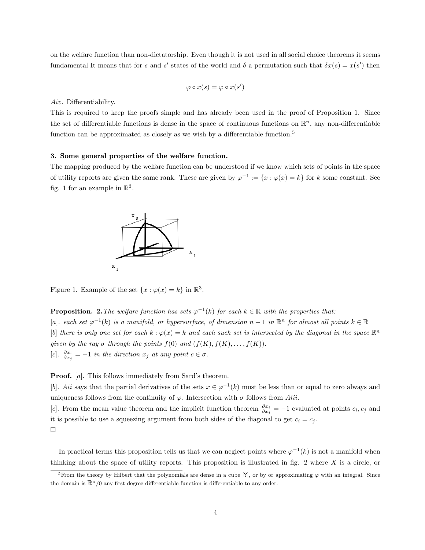on the welfare function than non-dictatorship. Even though it is not used in all social choice theorems it seems fundamental It means that for s and s' states of the world and  $\delta$  a permutation such that  $\delta x(s) = x(s')$  then

$$
\varphi \circ x(s) = \varphi \circ x(s')
$$

Aiv. Differentiability.

This is required to keep the proofs simple and has already been used in the proof of Proposition 1. Since the set of differentiable functions is dense in the space of continuous functions on  $\mathbb{R}^n$ , any non-differentiable function can be approximated as closely as we wish by a differentiable function.<sup>5</sup>

#### 3. Some general properties of the welfare function.

The mapping produced by the welfare function can be understood if we know which sets of points in the space of utility reports are given the same rank. These are given by  $\varphi^{-1} := \{x : \varphi(x) = k\}$  for k some constant. See fig. 1 for an example in  $\mathbb{R}^3$ .



Figure 1. Example of the set  $\{x : \varphi(x) = k\}$  in  $\mathbb{R}^3$ .

**Proposition.** 2. The welfare function has sets  $\varphi^{-1}(k)$  for each  $k \in \mathbb{R}$  with the properties that: [a]. each set  $\varphi^{-1}(k)$  is a manifold, or hypersurface, of dimension  $n-1$  in  $\mathbb{R}^n$  for almost all points  $k \in \mathbb{R}$ [b] there is only one set for each  $k : \varphi(x) = k$  and each such set is intersected by the diagonal in the space  $\mathbb{R}^n$ given by the ray  $\sigma$  through the points  $f(0)$  and  $(f(K), f(K), \ldots, f(K))$ . [c].  $\frac{\partial x_i}{\partial x_j} = -1$  in the direction  $x_j$  at any point  $c \in \sigma$ .

**Proof.** [a]. This follows immediately from Sard's theorem.

[b]. Aii says that the partial derivatives of the sets  $x \in \varphi^{-1}(k)$  must be less than or equal to zero always and uniqueness follows from the continuity of  $\varphi$ . Intersection with  $\sigma$  follows from Aiii.

[c]. From the mean value theorem and the implicit function theorem  $\frac{\partial x_i}{\partial x_j} = -1$  evaluated at points  $c_i, c_j$  and it is possible to use a squeezing argument from both sides of the diagonal to get  $c_i = c_j$ .  $\Box$ 

In practical terms this proposition tells us that we can neglect points where  $\varphi^{-1}(k)$  is not a manifold when thinking about the space of utility reports. This proposition is illustrated in fig. 2 where  $X$  is a circle, or

<sup>&</sup>lt;sup>5</sup>From the theory by Hilbert that the polynomials are dense in a cube [?], or by or approximating  $\varphi$  with an integral. Since the domain is  $\mathbb{R}^n/0$  any first degree differentiable function is differentiable to any order.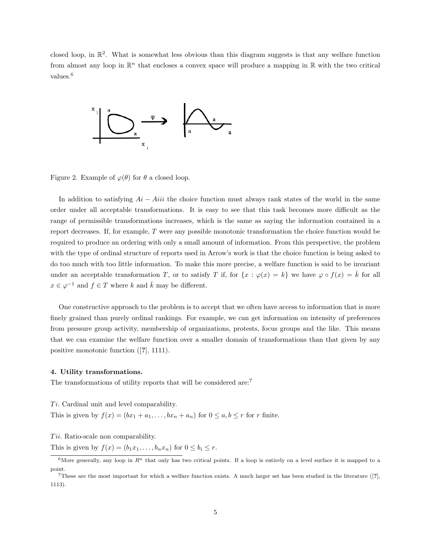closed loop, in  $\mathbb{R}^2$ . What is somewhat less obvious than this diagram suggests is that any welfare function from almost any loop in  $\mathbb{R}^n$  that encloses a convex space will produce a mapping in  $\mathbb{R}$  with the two critical values.<sup>6</sup>



Figure 2. Example of  $\varphi(\theta)$  for  $\theta$  a closed loop.

In addition to satisfying  $Ai - Aiii$  the choice function must always rank states of the world in the same order under all acceptable transformations. It is easy to see that this task becomes more difficult as the range of permissible transformations increases, which is the same as saying the information contained in a report decreases. If, for example, T were any possible monotonic transformation the choice function would be required to produce an ordering with only a small amount of information. From this perspective, the problem with the type of ordinal structure of reports used in Arrow's work is that the choice function is being asked to do too much with too little information. To make this more precise, a welfare function is said to be invariant under an acceptable transformation T, or to satisfy T if, for  $\{x : \varphi(x) = k\}$  we have  $\varphi \circ f(x) = \overline{k}$  for all  $x \in \varphi^{-1}$  and  $f \in T$  where k and  $\overline{k}$  may be different.

One constructive approach to the problem is to accept that we often have access to information that is more finely grained than purely ordinal rankings. For example, we can get information on intensity of preferences from pressure group activity, membership of organizations, protests, focus groups and the like. This means that we can examine the welfare function over a smaller domain of transformations than that given by any positive monotonic function ([?], 1111).

#### 4. Utility transformations.

The transformations of utility reports that will be considered are:<sup>7</sup>

 $Ti.$  Cardinal unit and level comparability.

This is given by  $f(x) = (bx_1 + a_1, \ldots, bx_n + a_n)$  for  $0 \le a, b \le r$  for r finite.

Tii. Ratio-scale non comparability.

This is given by  $f(x) = (b_1x_1, \ldots, b_nx_n)$  for  $0 \leq b_i \leq r$ .

<sup>&</sup>lt;sup>6</sup>More generally, any loop in  $R^n$  that only has two critical points. If a loop is entirely on a level surface it is mapped to a point.

These are the most important for which a welfare function exists. A much larger set has been studied in the literature  $(2)$ , 1113).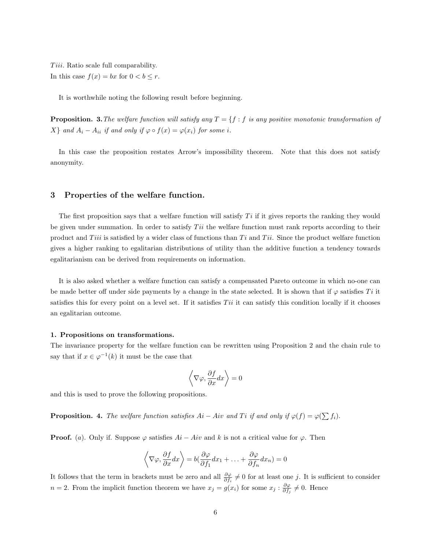Tiii. Ratio scale full comparability. In this case  $f(x) = bx$  for  $0 < b \leq r$ .

It is worthwhile noting the following result before beginning.

**Proposition.** 3. The welfare function will satisfy any  $T = \{f : f$  is any positive monotonic transformation of  $X$ } and  $A_i - A_{ii}$  if and only if  $\varphi \circ f(x) = \varphi(x_i)$  for some i.

In this case the proposition restates Arrow's impossibility theorem. Note that this does not satisfy anonymity.

#### 3 Properties of the welfare function.

The first proposition says that a welfare function will satisfy  $Ti$  if it gives reports the ranking they would be given under summation. In order to satisfy  $Ti$  the welfare function must rank reports according to their product and Tiii is satisfied by a wider class of functions than  $Ti$  and  $Ti$ . Since the product welfare function gives a higher ranking to egalitarian distributions of utility than the additive function a tendency towards egalitarianism can be derived from requirements on information.

It is also asked whether a welfare function can satisfy a compensated Pareto outcome in which no-one can be made better off under side payments by a change in the state selected. It is shown that if  $\varphi$  satisfies Ti it satisfies this for every point on a level set. If it satisfies  $Ti$  it can satisfy this condition locally if it chooses an egalitarian outcome.

#### 1. Propositions on transformations.

The invariance property for the welfare function can be rewritten using Proposition 2 and the chain rule to say that if  $x \in \varphi^{-1}(k)$  it must be the case that

$$
\left\langle \nabla \varphi, \frac{\partial f}{\partial x} dx \right\rangle = 0
$$

and this is used to prove the following propositions.

**Proposition.** 4. The welfare function satisfies  $Ai - Air$  and  $Ti$  if and only if  $\varphi(f) = \varphi(\sum f_i)$ .

**Proof.** (a). Only if. Suppose  $\varphi$  satisfies  $Ai - Aiv$  and k is not a critical value for  $\varphi$ . Then

$$
\left\langle \nabla \varphi, \frac{\partial f}{\partial x} dx \right\rangle = b \left( \frac{\partial \varphi}{\partial f_1} dx_1 + \dots + \frac{\partial \varphi}{\partial f_n} dx_n \right) = 0
$$

It follows that the term in brackets must be zero and all  $\frac{\partial \varphi}{\partial f_i} \neq 0$  for at least one j. It is sufficient to consider  $n=2$ . From the implicit function theorem we have  $x_j = g(x_i)$  for some  $x_j : \frac{\partial \varphi}{\partial f_j} \neq 0$ . Hence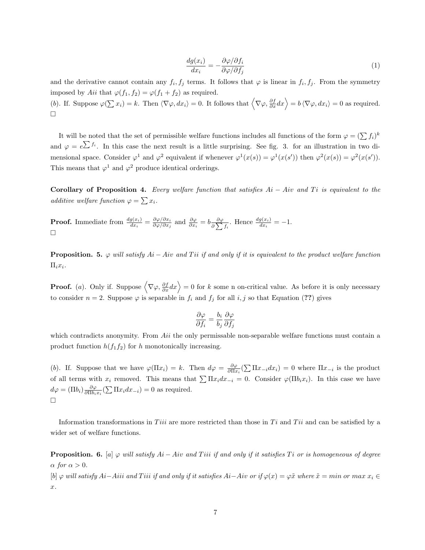$$
\frac{dg(x_i)}{dx_i} = -\frac{\partial \varphi/\partial f_i}{\partial \varphi/\partial f_j} \tag{1}
$$

and the derivative cannot contain any  $f_i, f_j$  terms. It follows that  $\varphi$  is linear in  $f_i, f_j$ . From the symmetry imposed by Aii that  $\varphi(f_1, f_2) = \varphi(f_1 + f_2)$  as required.

(b). If. Suppose  $\varphi(\sum x_i) = k$ . Then  $\langle \nabla \varphi, dx_i \rangle = 0$ . It follows that  $\langle \nabla \varphi, \frac{\partial f}{\partial x} dx \rangle = b \langle \nabla \varphi, dx_i \rangle = 0$  as required.  $\Box$ 

It will be noted that the set of permissible welfare functions includes all functions of the form  $\varphi = (\sum f_i)^k$ and  $\varphi = e^{\sum f_i}$ . In this case the next result is a little surprising. See fig. 3. for an illustration in two dimensional space. Consider  $\varphi^1$  and  $\varphi^2$  equivalent if whenever  $\varphi^1(x(s)) = \varphi^1(x(s'))$  then  $\varphi^2(x(s)) = \varphi^2(x(s'))$ . This means that  $\varphi^1$  and  $\varphi^2$  produce identical orderings.

Corollary of Proposition 4. Every welfare function that satisfies  $Ai - Air$  and Ti is equivalent to the additive welfare function  $\varphi = \sum x_i$ .

**Proof.** Immediate from  $\frac{dg(x_i)}{dx_i} = \frac{\partial \varphi / \partial x_i}{\partial \varphi / \partial x_j}$  $\frac{\partial \varphi/\partial x_i}{\partial \varphi/\partial x_j}$  and  $\frac{\partial \varphi}{\partial x_i} = b \frac{\partial \varphi}{\partial \sum}$  $\frac{\partial \varphi}{\partial \sum f_i}$ . Hence  $\frac{dg(x_i)}{dx_i} = -1$ .  $\Box$ 

**Proposition.** 5.  $\varphi$  will satisfy Ai – Aiv and Tii if and only if it is equivalent to the product welfare function  $\Pi_i x_i$ .

**Proof.** (a). Only if. Suppose  $\langle \nabla \varphi, \frac{\partial f}{\partial x} dx \rangle = 0$  for k some n on-critical value. As before it is only necessary to consider  $n = 2$ . Suppose  $\varphi$  is separable in  $f_i$  and  $f_j$  for all i, j so that Equation (??) gives

$$
\frac{\partial \varphi}{\partial f_i} = \frac{b_i}{b_j} \frac{\partial \varphi}{\partial f_j}
$$

which contradicts anonymity. From  $Ai<sub>i</sub>$  the only permissable non-separable welfare functions must contain a product function  $h(f_1f_2)$  for h monotonically increasing.

(b). If. Suppose that we have  $\varphi(\Pi x_i) = k$ . Then  $d\varphi = \frac{\partial \varphi}{\partial \Pi x_i} (\sum \Pi x_{-i} dx_i) = 0$  where  $\Pi x_{-i}$  is the product of all terms with  $x_i$  removed. This means that  $\sum \prod x_i dx_{-i} = 0$ . Consider  $\varphi(\prod b_i x_i)$ . In this case we have  $d\varphi = (\Pi b_i) \frac{\partial \varphi}{\partial \Pi b_i x_i} (\sum \Pi x_i dx_{-i}) = 0$  as required.  $\Box$ 

Information transformations in Tiii are more restricted than those in  $Ti$  and  $Ti$  and can be satisfied by a wider set of welfare functions.

**Proposition.** 6. [a]  $\varphi$  will satisfy  $Ai - Air$  and Tiii if and only if it satisfies Ti or is homogeneous of degree  $\alpha$  for  $\alpha > 0$ .

 $[b] \varphi$  will satisfy Ai–Aiii and Tiii if and only if it satisfies Ai–Aiv or if  $\varphi(x) = \varphi \tilde{x}$  where  $\tilde{x} = min$  or  $max x_i \in$ x.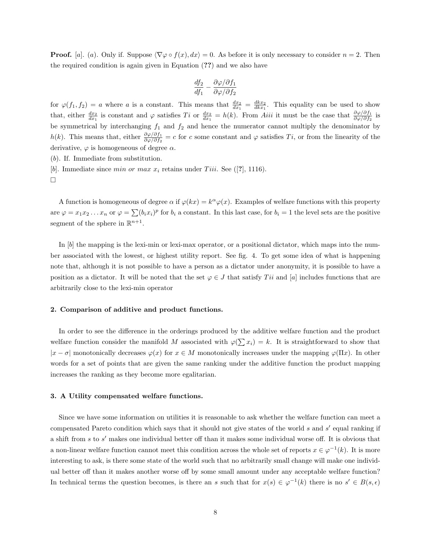**Proof.** [a]. (a). Only if. Suppose  $\langle \nabla \varphi \circ f(x), dx \rangle = 0$ . As before it is only necessary to consider  $n = 2$ . Then the required condition is again given in Equation (??) and we also have

$$
\frac{df_2}{df_1} - \frac{\partial \varphi/\partial f_1}{\partial \varphi/\partial f_2}
$$

for  $\varphi(f_1, f_2) = a$  where a is a constant. This means that  $\frac{dx_2}{dx_1} = \frac{dkx_2}{dkx_1}$ . This equality can be used to show that, either  $\frac{dx_2}{dx_1}$  is constant and  $\varphi$  satisfies  $Ti$  or  $\frac{dx_2}{dx_1} = h(k)$ . From Aiii it must be the case that  $\frac{\partial \varphi/\partial f_1}{\partial \varphi/\partial f_2}$  is be symmetrical by interchanging  $f_1$  and  $f_2$  and hence the numerator cannot multiply the denominator by h(k). This means that, either  $\frac{\partial \varphi/\partial f_1}{\partial \varphi/\partial f_2} = c$  for c some constant and  $\varphi$  satisfies  $Ti$ , or from the linearity of the derivative,  $\varphi$  is homogeneous of degree  $\alpha$ .

(b). If. Immediate from substitution.

[b]. Immediate since *min or max*  $x_i$  retains under *Tiii*. See ([?], 1116).

 $\Box$ 

A function is homogeneous of degree  $\alpha$  if  $\varphi(kx) = k^{\alpha} \varphi(x)$ . Examples of welfare functions with this property are  $\varphi = x_1 x_2 \dots x_n$  or  $\varphi = \sum (b_i x_i)^p$  for  $b_i$  a constant. In this last case, for  $b_i = 1$  the level sets are the positive segment of the sphere in  $\mathbb{R}^{n+1}$ .

In [b] the mapping is the lexi-min or lexi-max operator, or a positional dictator, which maps into the number associated with the lowest, or highest utility report. See fig. 4. To get some idea of what is happening note that, although it is not possible to have a person as a dictator under anonymity, it is possible to have a position as a dictator. It will be noted that the set  $\varphi \in J$  that satisfy Ti and [a] includes functions that are arbitrarily close to the lexi-min operator

#### 2. Comparison of additive and product functions.

In order to see the difference in the orderings produced by the additive welfare function and the product welfare function consider the manifold M associated with  $\varphi(\sum x_i) = k$ . It is straightforward to show that  $|x - \sigma|$  monotonically decreases  $\varphi(x)$  for  $x \in M$  monotonically increases under the mapping  $\varphi(\Pi x)$ . In other words for a set of points that are given the same ranking under the additive function the product mapping increases the ranking as they become more egalitarian.

#### 3. A Utility compensated welfare functions.

Since we have some information on utilities it is reasonable to ask whether the welfare function can meet a compensated Pareto condition which says that it should not give states of the world  $s$  and  $s'$  equal ranking if a shift from  $s$  to  $s'$  makes one individual better off than it makes some individual worse off. It is obvious that a non-linear welfare function cannot meet this condition across the whole set of reports  $x \in \varphi^{-1}(k)$ . It is more interesting to ask, is there some state of the world such that no arbitrarily small change will make one individual better off than it makes another worse off by some small amount under any acceptable welfare function? In technical terms the question becomes, is there an s such that for  $x(s) \in \varphi^{-1}(k)$  there is no  $s' \in B(s, \epsilon)$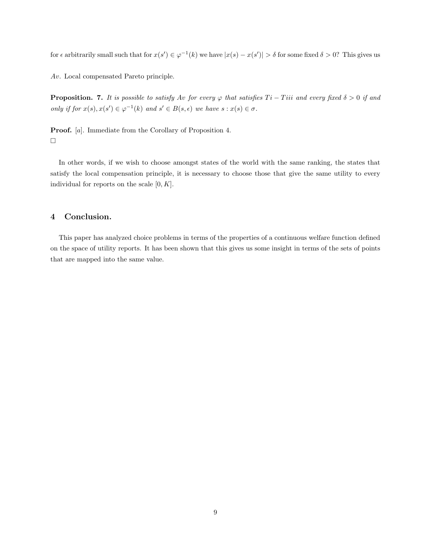for  $\epsilon$  arbitrarily small such that for  $x(s') \in \varphi^{-1}(k)$  we have  $|x(s) - x(s')| > \delta$  for some fixed  $\delta > 0$ ? This gives us

Av. Local compensated Pareto principle.

**Proposition. 7.** It is possible to satisfy Av for every  $\varphi$  that satisfies  $Ti - Tiii$  and every fixed  $\delta > 0$  if and only if for  $x(s)$ ,  $x(s') \in \varphi^{-1}(k)$  and  $s' \in B(s, \epsilon)$  we have  $s : x(s) \in \sigma$ .

Proof. [a]. Immediate from the Corollary of Proposition 4.  $\hfill \square$ 

In other words, if we wish to choose amongst states of the world with the same ranking, the states that satisfy the local compensation principle, it is necessary to choose those that give the same utility to every individual for reports on the scale  $[0, K]$ .

#### 4 Conclusion.

This paper has analyzed choice problems in terms of the properties of a continuous welfare function defined on the space of utility reports. It has been shown that this gives us some insight in terms of the sets of points that are mapped into the same value.